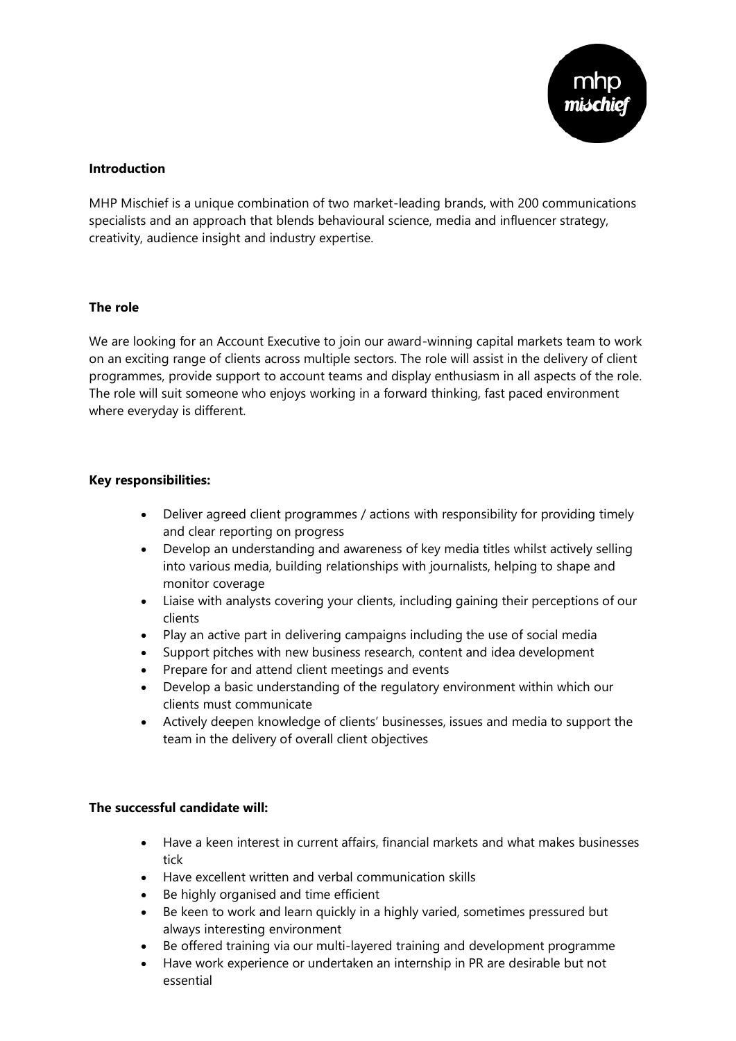

# **Introduction**

MHP Mischief is a unique combination of two market-leading brands, with 200 communications specialists and an approach that blends behavioural science, media and influencer strategy, creativity, audience insight and industry expertise.

# **The role**

We are looking for an Account Executive to join our award-winning capital markets team to work on an exciting range of clients across multiple sectors. The role will assist in the delivery of client programmes, provide support to account teams and display enthusiasm in all aspects of the role. The role will suit someone who enjoys working in a forward thinking, fast paced environment where everyday is different.

## **Key responsibilities:**

- Deliver agreed client programmes / actions with responsibility for providing timely and clear reporting on progress
- Develop an understanding and awareness of key media titles whilst actively selling into various media, building relationships with journalists, helping to shape and monitor coverage
- Liaise with analysts covering your clients, including gaining their perceptions of our clients
- Play an active part in delivering campaigns including the use of social media
- Support pitches with new business research, content and idea development
- Prepare for and attend client meetings and events
- Develop a basic understanding of the regulatory environment within which our clients must communicate
- Actively deepen knowledge of clients' businesses, issues and media to support the team in the delivery of overall client objectives

#### **The successful candidate will:**

- Have a keen interest in current affairs, financial markets and what makes businesses tick
- Have excellent written and verbal communication skills
- Be highly organised and time efficient
- Be keen to work and learn quickly in a highly varied, sometimes pressured but always interesting environment
- Be offered training via our multi-layered training and development programme
- Have work experience or undertaken an internship in PR are desirable but not essential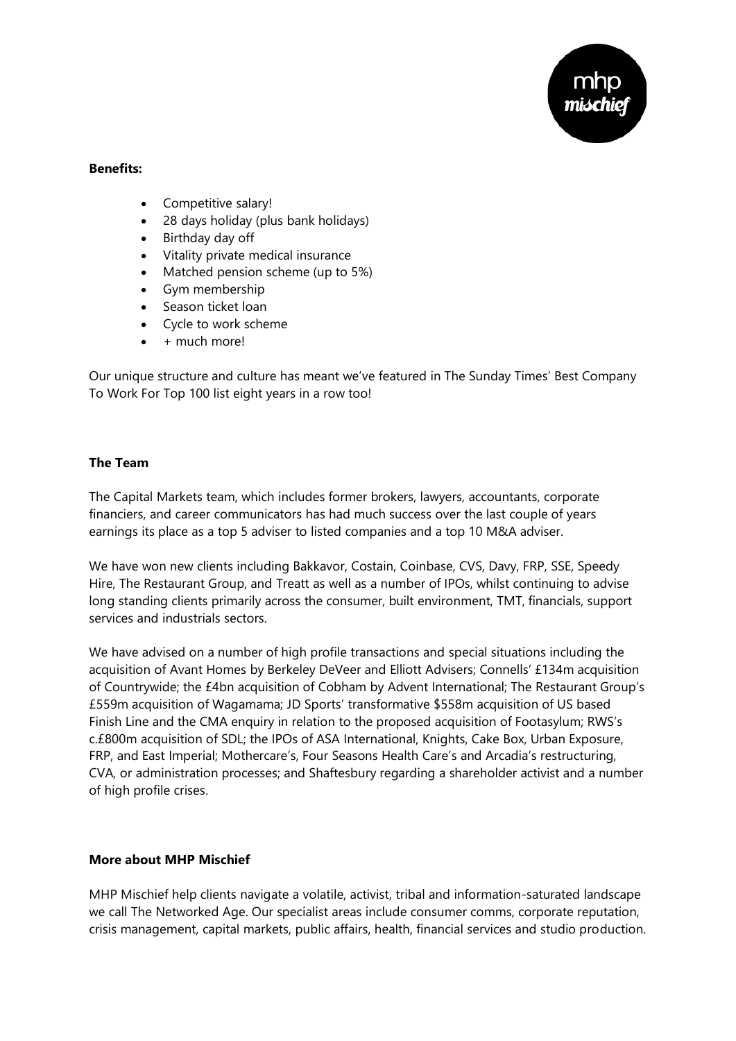

## **Benefits:**

- Competitive salary!
- 28 days holiday (plus bank holidays)
- Birthday day off
- Vitality private medical insurance
- Matched pension scheme (up to 5%)
- Gym membership
- Season ticket loan
- Cycle to work scheme
- + much more!

Our unique structure and culture has meant we've featured in The Sunday Times' Best Company To Work For Top 100 list eight years in a row too!

## **The Team**

The Capital Markets team, which includes former brokers, lawyers, accountants, corporate financiers, and career communicators has had much success over the last couple of years earnings its place as a top 5 adviser to listed companies and a top 10 M&A adviser.

We have won new clients including Bakkavor, Costain, Coinbase, CVS, Davy, FRP, SSE, Speedy Hire, The Restaurant Group, and Treatt as well as a number of IPOs, whilst continuing to advise long standing clients primarily across the consumer, built environment, TMT, financials, support services and industrials sectors.

We have advised on a number of high profile transactions and special situations including the acquisition of Avant Homes by Berkeley DeVeer and Elliott Advisers; Connells' £134m acquisition of Countrywide; the £4bn acquisition of Cobham by Advent International; The Restaurant Group's £559m acquisition of Wagamama; JD Sports' transformative \$558m acquisition of US based Finish Line and the CMA enquiry in relation to the proposed acquisition of Footasylum; RWS's c.£800m acquisition of SDL; the IPOs of ASA International, Knights, Cake Box, Urban Exposure, FRP, and East Imperial; Mothercare's, Four Seasons Health Care's and Arcadia's restructuring, CVA, or administration processes; and Shaftesbury regarding a shareholder activist and a number of high profile crises.

# **More about MHP Mischief**

MHP Mischief help clients navigate a volatile, activist, tribal and information-saturated landscape we call The Networked Age. Our specialist areas include consumer comms, corporate reputation, crisis management, capital markets, public affairs, health, financial services and studio production.